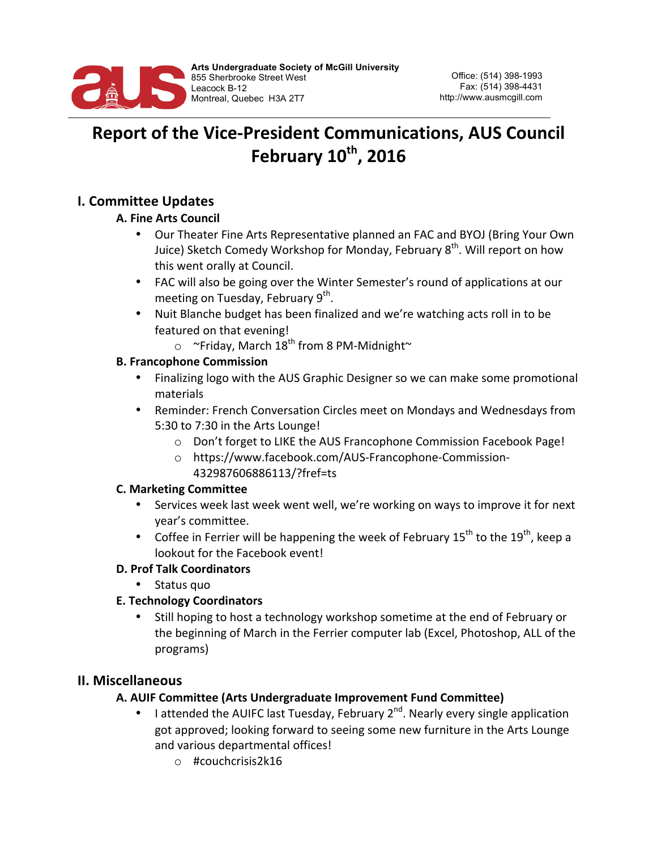

# **Report of the Vice-President Communications, AUS Council February 10<sup>th</sup>, 2016**

# **I. Committee Updates**

# **A. Fine Arts Council**

- Our Theater Fine Arts Representative planned an FAC and BYOJ (Bring Your Own) Juice) Sketch Comedy Workshop for Monday, February  $8<sup>th</sup>$ . Will report on how this went orally at Council.
- FAC will also be going over the Winter Semester's round of applications at our meeting on Tuesday, February  $9<sup>th</sup>$ .
- Nuit Blanche budget has been finalized and we're watching acts roll in to be featured on that evening!
	- $\circ$  ~Friday, March 18<sup>th</sup> from 8 PM-Midnight~

#### **B. Francophone Commission**

- Finalizing logo with the AUS Graphic Designer so we can make some promotional materials
- Reminder: French Conversation Circles meet on Mondays and Wednesdays from 5:30 to 7:30 in the Arts Lounge!
	- o Don't forget to LIKE the AUS Francophone Commission Facebook Page!
	- o https://www.facebook.com/AUS-Francophone-Commission-432987606886113/?fref=ts

# **C. Marketing Committee**

- Services week last week went well, we're working on ways to improve it for next year's committee.
- Coffee in Ferrier will be happening the week of February  $15^{th}$  to the  $19^{th}$ , keep a lookout for the Facebook event!

# **D. Prof Talk Coordinators**

• Status quo

# **E. Technology Coordinators**

Still hoping to host a technology workshop sometime at the end of February or the beginning of March in the Ferrier computer lab (Excel, Photoshop, ALL of the programs)

# **II. Miscellaneous**

- **A. AUIF Committee (Arts Undergraduate Improvement Fund Committee)** 
	- I attended the AUIFC last Tuesday, February 2<sup>nd</sup>. Nearly every single application got approved; looking forward to seeing some new furniture in the Arts Lounge and various departmental offices!
		- o #couchcrisis2k16